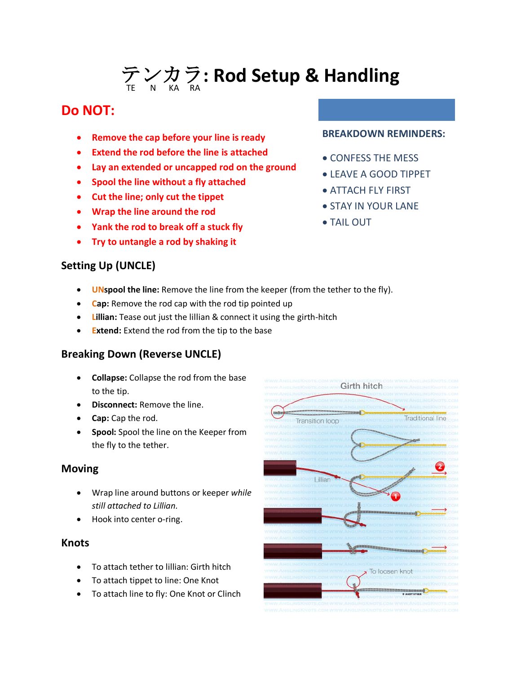# テンカラ  $\widehat{{\mathcal F}}\underset{\tiny{\kappa}}\times {\mathcal{D}}\underset{\tiny{\kappa}}\nabla$ : Rod Setup & Handling

# **Do NOT:**

- **Remove the cap before your line is ready**
- **Extend the rod before the line is attached**
- **Lay an extended or uncapped rod on the ground**
- **Spool the line without a fly attached**
- **Cut the line; only cut the tippet**
- **Wrap the line around the rod**
- **Yank the rod to break off a stuck fly**
- **Try to untangle a rod by shaking it**

### **Setting Up (UNCLE)**

#### **BREAKDOWN REMINDERS:**

- CONFESS THE MESS
- LEAVE A GOOD TIPPET
- ATTACH FLY FIRST
- STAY IN YOUR LANE
- TAIL OUT
- **UNspool the line:** Remove the line from the keeper (from the tether to the fly).
- **Cap:** Remove the rod cap with the rod tip pointed up
- **Lillian:** Tease out just the lillian & connect it using the girth-hitch
- **Extend:** Extend the rod from the tip to the base

## **Breaking Down (Reverse UNCLE)**

- **Collapse:** Collapse the rod from the base to the tip.
- **Disconnect:** Remove the line.
- **Cap:** Cap the rod.
- **Spool:** Spool the line on the Keeper from the fly to the tether.

#### **Moving**

- Wrap line around buttons or keeper *while still attached to Lillian.*
- Hook into center o-ring.

#### **Knots**

- To attach tether to lillian: Girth hitch
- To attach tippet to line: One Knot
- To attach line to fly: One Knot or Clinch